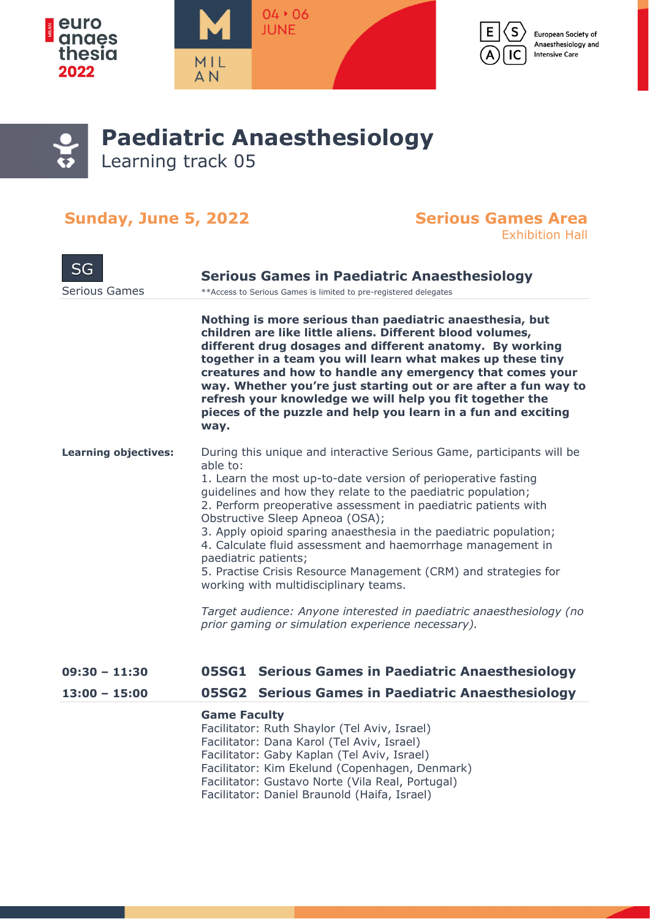



European Society of Anaesthesiology and **Intensive Care** 

## **Paediatric Anaesthesiology** Learning track 05

### **Sunday, June 5, 2022 Serious Games Area**

# Exhibition Hall

| SG<br><b>Serious Games</b>  | <b>Serious Games in Paediatric Anaesthesiology</b><br>** Access to Serious Games is limited to pre-registered delegates                                                                                                                                                                                                                                                                                                                                                                                                                                                                                                                                                 |
|-----------------------------|-------------------------------------------------------------------------------------------------------------------------------------------------------------------------------------------------------------------------------------------------------------------------------------------------------------------------------------------------------------------------------------------------------------------------------------------------------------------------------------------------------------------------------------------------------------------------------------------------------------------------------------------------------------------------|
|                             | Nothing is more serious than paediatric anaesthesia, but<br>children are like little aliens. Different blood volumes,<br>different drug dosages and different anatomy. By working<br>together in a team you will learn what makes up these tiny<br>creatures and how to handle any emergency that comes your<br>way. Whether you're just starting out or are after a fun way to<br>refresh your knowledge we will help you fit together the<br>pieces of the puzzle and help you learn in a fun and exciting<br>way.                                                                                                                                                    |
| <b>Learning objectives:</b> | During this unique and interactive Serious Game, participants will be<br>able to:<br>1. Learn the most up-to-date version of perioperative fasting<br>guidelines and how they relate to the paediatric population;<br>2. Perform preoperative assessment in paediatric patients with<br>Obstructive Sleep Apneoa (OSA);<br>3. Apply opioid sparing anaesthesia in the paediatric population;<br>4. Calculate fluid assessment and haemorrhage management in<br>paediatric patients;<br>5. Practise Crisis Resource Management (CRM) and strategies for<br>working with multidisciplinary teams.<br>Target audience: Anyone interested in paediatric anaesthesiology (no |
|                             | prior gaming or simulation experience necessary).                                                                                                                                                                                                                                                                                                                                                                                                                                                                                                                                                                                                                       |
| $09:30 - 11:30$             | 05SG1 Serious Games in Paediatric Anaesthesiology                                                                                                                                                                                                                                                                                                                                                                                                                                                                                                                                                                                                                       |
| $13:00 - 15:00$             | 05SG2 Serious Games in Paediatric Anaesthesiology                                                                                                                                                                                                                                                                                                                                                                                                                                                                                                                                                                                                                       |
|                             | <b>Game Faculty</b><br>Facilitator: Ruth Shaylor (Tel Aviv, Israel)<br>Facilitator: Dana Karol (Tel Aviv, Israel)<br>Facilitator: Gaby Kaplan (Tel Aviv, Israel)<br>Facilitator: Kim Ekelund (Copenhagen, Denmark)                                                                                                                                                                                                                                                                                                                                                                                                                                                      |

- Facilitator: Gustavo Norte (Vila Real, Portugal)
- Facilitator: Daniel Braunold (Haifa, Israel)